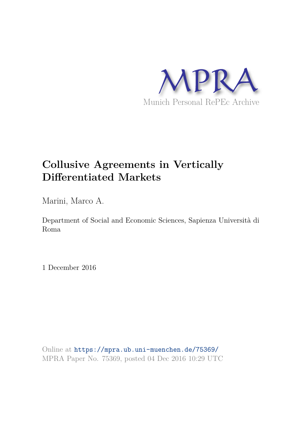

# **Collusive Agreements in Vertically Differentiated Markets**

Marini, Marco A.

Department of Social and Economic Sciences, Sapienza Università di Roma

1 December 2016

Online at https://mpra.ub.uni-muenchen.de/75369/ MPRA Paper No. 75369, posted 04 Dec 2016 10:29 UTC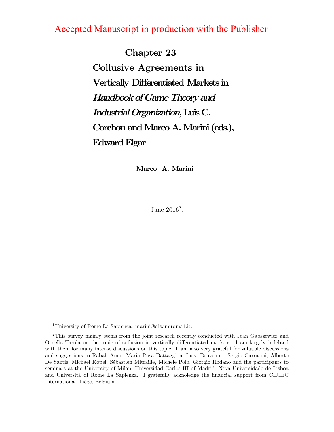# Accepted Manuscript in production with the Publisher

 Chapter 23 Collusive Agreements in Vertically Differentiated Markets in Handbook of Game Theory and Industrial Organization, Luis C. Corchon and Marco A. Marini (eds.), Edward Elgar

Marco A. Marini<sup>1</sup>

June 2016<sup>2</sup>.

<sup>1</sup>University of Rome La Sapienza. marini@dis.uniroma1.it.

<sup>2</sup>This survey mainly stems from the joint research recently conducted with Jean Gabszewicz and Ornella Tarola on the topic of collusion in vertically differentiated markets. I am largely indebted with them for many intense discussions on this topic. I. am also very grateful for valuable discussions and suggestions to Rabah Amir, Maria Rosa Battaggion, Luca Benvenuti, Sergio Currarini, Alberto De Santis, Michael Kopel, SÈbastien Mitraille, Michele Polo, Giorgio Rodano and the participants to seminars at the University of Milan, Universidad Carlos III of Madrid, Nova Universidade de Lisboa and Università di Rome La Sapienza. I gratefully acknoledge the financial support from CIRIEC International, Liége, Belgium.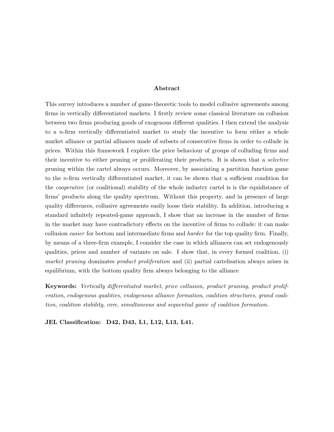### Abstract

This survey introduces a number of game-theoretic tools to model collusive agreements among firms in vertically differentiated markets. I firstly review some classical literature on collusion between two firms producing goods of exogenous different qualities. I then extend the analysis to a *n*-firm vertically differentiated market to study the incentive to form either a whole market alliance or partial alliances made of subsets of consecutive Örms in order to collude in prices. Within this framework I explore the price behaviour of groups of colluding Örms and their incentive to either pruning or proliferating their products. It is shown that a selective pruning within the cartel always occurs. Moreover, by associating a partition function game to the *n*-firm vertically differentiated market, it can be shown that a sufficient condition for the cooperative (or coalitional) stability of the whole industry cartel is is the equidistance of firms' products along the quality spectrum. Without this property, and in presence of large quality differences, collusive agreements easily loose their stability. In addition, introducing a standard infinitely repeated-game approach, I show that an increase in the number of firms in the market may have contradictory effects on the incentive of firms to collude: it can make collusion *easier* for bottom and intermediate firms and *harder* for the top quality firm. Finally, by means of a three-Örm example, I consider the case in which alliances can set endogenously qualities, prices and number of variants on sale. I show that, in every formed coalition, (i) market pruning dominates product proliferation and (ii) partial cartelisation always arises in equilibrium, with the bottom quality firm always belonging to the alliance

Keywords: Vertically differentiated market, price collusion, product pruning, product proliferation, endogenous qualities, endogenous alliance formation, coalition structures, grand coalition, coalition stability, core, simultaneous and sequential game of coalition formation.

JEL Classification: D42, D43, L1, L12, L13, L41.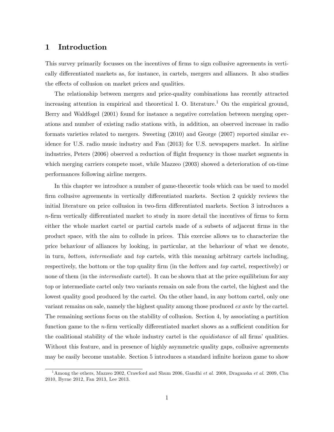### 1 Introduction

This survey primarily focusses on the incentives of firms to sign collusive agreements in vertically differentiated markets as, for instance, in cartels, mergers and alliances. It also studies the effects of collusion on market prices and qualities.

The relationship between mergers and price-quality combinations has recently attracted increasing attention in empirical and theoretical I. O. literature.<sup>1</sup> On the empirical ground, Berry and Waldfogel (2001) found for instance a negative correlation between merging operations and number of existing radio stations with, in addition, an observed increase in radio formats varieties related to mergers. Sweeting (2010) and George (2007) reported similar evidence for U.S. radio music industry and Fan (2013) for U.S. newspapers market. In airline industries, Peters (2006) observed a reduction of áight frequency in those market segments in which merging carriers compete most, while Mazzeo (2003) showed a deterioration of on-time performances following airline mergers.

In this chapter we introduce a number of game-theoretic tools which can be used to model firm collusive agreements in vertically differentiated markets. Section 2 quickly reviews the initial literature on price collusion in two-firm differentiated markets. Section 3 introduces a  $n$ -firm vertically differentiated market to study in more detail the incentives of firms to form either the whole market cartel or partial cartels made of a subsets of adjacent firms in the product space, with the aim to collude in prices. This exercise allows us to characterize the price behaviour of alliances by looking, in particular, at the behaviour of what we denote, in turn, bottom, intermediate and top cartels, with this meaning arbitrary cartels including, respectively, the bottom or the top quality firm (in the *bottom* and top cartel, respectively) or none of them (in the *intermediate* cartel). It can be shown that at the price equilibrium for any top or intermediate cartel only two variants remain on sale from the cartel, the highest and the lowest quality good produced by the cartel. On the other hand, in any bottom cartel, only one variant remains on sale, namely the highest quality among those produced ex ante by the cartel. The remaining sections focus on the stability of collusion. Section 4, by associating a partition function game to the  $n$ -firm vertically differentiated market shows as a sufficient condition for the coalitional stability of the whole industry cartel is the *equidistance* of all firms' qualities. Without this feature, and in presence of highly asymmetric quality gaps, collusive agreements may be easily become unstable. Section 5 introduces a standard infinite horizon game to show

<sup>&</sup>lt;sup>1</sup> Among the others, Mazzeo 2002, Crawford and Shum 2006, Gandhi et al. 2008, Draganska et al. 2009, Chu 2010, Byrne 2012, Fan 2013, Lee 2013.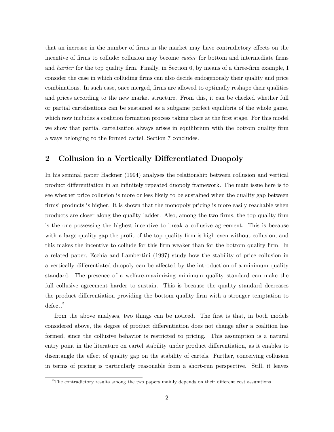that an increase in the number of firms in the market may have contradictory effects on the incentive of firms to collude: collusion may become *easier* for bottom and intermediate firms and *harder* for the top quality firm. Finally, in Section 6, by means of a three-firm example, I consider the case in which colluding firms can also decide endogenously their quality and price combinations. In such case, once merged, firms are allowed to optimally reshape their qualities and prices according to the new market structure. From this, it can be checked whether full or partial cartelisations can be sustained as a subgame perfect equilibria of the whole game, which now includes a coalition formation process taking place at the first stage. For this model we show that partial cartelisation always arises in equilibrium with the bottom quality firm always belonging to the formed cartel. Section 7 concludes.

## 2 Collusion in a Vertically Differentiated Duopoly

In his seminal paper Hackner (1994) analyses the relationship between collusion and vertical product differentiation in an infinitely repeated duopoly framework. The main issue here is to see whether price collusion is more or less likely to be sustained when the quality gap between firms' products is higher. It is shown that the monopoly pricing is more easily reachable when products are closer along the quality ladder. Also, among the two Örms, the top quality Örm is the one possessing the highest incentive to break a collusive agreement. This is because with a large quality gap the profit of the top quality firm is high even without collusion, and this makes the incentive to collude for this firm weaker than for the bottom quality firm. In a related paper, Ecchia and Lambertini (1997) study how the stability of price collusion in a vertically differentiated duopoly can be affected by the introduction of a minimum quality standard. The presence of a welfare-maximizing minimum quality standard can make the full collusive agreement harder to sustain. This is because the quality standard decreases the product differentiation providing the bottom quality firm with a stronger temptation to defect.<sup>2</sup>

from the above analyses, two things can be noticed. The first is that, in both models considered above, the degree of product differentiation does not change after a coalition has formed, since the collusive behavior is restricted to pricing. This assumption is a natural entry point in the literature on cartel stability under product differentiation, as it enables to disentangle the effect of quality gap on the stability of cartels. Further, conceiving collusion in terms of pricing is particularly reasonable from a short-run perspective. Still, it leaves

 $2$ The contradictory results among the two papers mainly depends on their different cost assumtions.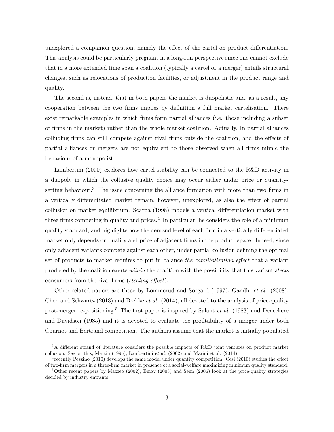unexplored a companion question, namely the effect of the cartel on product differentiation. This analysis could be particularly pregnant in a long-run perspective since one cannot exclude that in a more extended time span a coalition (typically a cartel or a merger) entails structural changes, such as relocations of production facilities, or adjustment in the product range and quality.

The second is, instead, that in both papers the market is duopolistic and, as a result, any cooperation between the two firms implies by definition a full market cartelisation. There exist remarkable examples in which firms form partial alliances (i.e. those including a subset of Örms in the market) rather than the whole market coalition. Actually, In partial alliances colluding firms can still compete against rival firms outside the coalition, and the effects of partial alliances or mergers are not equivalent to those observed when all Örms mimic the behaviour of a monopolist.

Lambertini (2000) explores how cartel stability can be connected to the R&D activity in a duopoly in which the collusive quality choice may occur either under price or quantitysetting behaviour.<sup>3</sup> The issue concerning the alliance formation with more than two firms in a vertically differentiated market remain, however, unexplored, as also the effect of partial collusion on market equilibrium. Scarpa (1998) models a vertical differentiation market with three firms competing in quality and prices.<sup>4</sup> In particular, he considers the role of a minimum quality standard, and highlights how the demand level of each firm in a vertically differentiated market only depends on quality and price of adjacent firms in the product space. Indeed, since only adjacent variants compete against each other, under partial collusion defining the optimal set of products to market requires to put in balance the cannibalization effect that a variant produced by the coalition exerts within the coalition with the possibility that this variant steals consumers from the rival firms (stealing effect).

Other related papers are those by Lommerud and Sorgard (1997), Gandhi et al. (2008), Chen and Schwartz  $(2013)$  and Brekke *et al.*  $(2014)$ , all devoted to the analysis of price-quality post-merger re-positioning.<sup>5</sup> The first paper is inspired by Salant *et al.* (1983) and Deneckere and Davidson (1985) and it is devoted to evaluate the profitability of a merger under both Cournot and Bertrand competition. The authors assume that the market is initially populated

 $3A$  different strand of literature considers the possible impacts of R&D joint ventures on product market collusion. See on this, Martin (1995), Lambertini et al. (2002) and Marini et al. (2014).

 $^{4}$  recently Pezzino (2010) develops the same model under quantity competition. Cesi (2010) studies the effect of two-Örm mergers in a three-Örm market in presence of a social-welfare maximizing minimum quality standard.

 $5$ Other recent papers by Mazzeo (2002), Einav (2003) and Seim (2006) look at the price-quality strategies decided by industry entrants.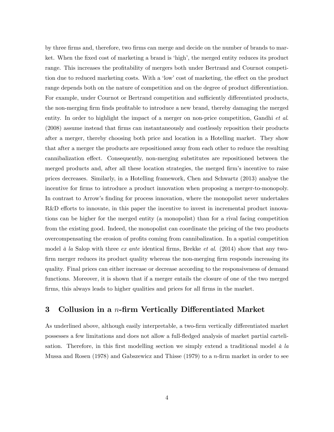by three firms and, therefore, two firms can merge and decide on the number of brands to market. When the fixed cost of marketing a brand is 'high', the merged entity reduces its product range. This increases the profitability of mergers both under Bertrand and Cournot competition due to reduced marketing costs. With a 'low' cost of marketing, the effect on the product range depends both on the nature of competition and on the degree of product differentiation. For example, under Cournot or Bertrand competition and sufficiently differentiated products, the non-merging firm finds profitable to introduce a new brand, thereby damaging the merged entity. In order to highlight the impact of a merger on non-price competition, Gandhi *et al.* (2008) assume instead that Örms can instantaneously and costlessly reposition their products after a merger, thereby choosing both price and location in a Hotelling market. They show that after a merger the products are repositioned away from each other to reduce the resulting cannibalization effect. Consequently, non-merging substitutes are repositioned between the merged products and, after all these location strategies, the merged firm's incentive to raise prices decreases. Similarly, in a Hotelling framework, Chen and Schwartz (2013) analyse the incentive for firms to introduce a product innovation when proposing a merger-to-monopoly. In contrast to Arrow's finding for process innovation, where the monopolist never undertakes  $R&D$  efforts to innovate, in this paper the incentive to invest in incremental product innovations can be higher for the merged entity (a monopolist) than for a rival facing competition from the existing good. Indeed, the monopolist can coordinate the pricing of the two products overcompensating the erosion of profits coming from cannibalization. In a spatial competition model  $\dot{a}$  la Salop with three *ex ante* identical firms, Brekke *et al.* (2014) show that any twofirm merger reduces its product quality whereas the non-merging firm responds increasing its quality. Final prices can either increase or decrease according to the responsiveness of demand functions. Moreover, it is shown that if a merger entails the closure of one of the two merged firms, this always leads to higher qualities and prices for all firms in the market.

### 3 Collusion in a  $n$ -firm Vertically Differentiated Market

As underlined above, although easily interpretable, a two-firm vertically differentiated market possesses a few limitations and does not allow a full-áedged analysis of market partial cartelisation. Therefore, in this first modelling section we simply extend a traditional model  $\dot{a}$  la Mussa and Rosen  $(1978)$  and Gabszewicz and Thisse  $(1979)$  to a *n*-firm market in order to see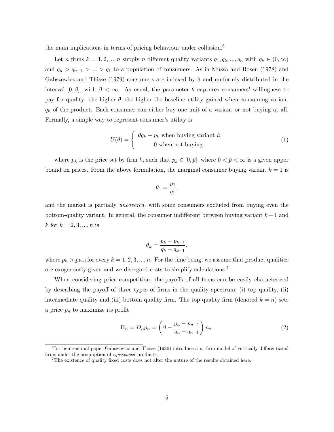the main implications in terms of pricing behaviour under collusion. $<sup>6</sup>$ </sup>

Let n firms  $k = 1, 2, ..., n$  supply n different quality variants  $q_1, q_2, ..., q_n$  with  $q_k \in (0, \infty)$ and  $q_n > q_{n-1} > ... > q_1$  to a population of consumers. As in Mussa and Rosen (1978) and Gabszewicz and Thisse (1979) consumers are indexed by  $\theta$  and uniformly distributed in the interval  $[0, \beta]$ , with  $\beta < \infty$ . As usual, the parameter  $\theta$  captures consumers' willingness to pay for quality: the higher  $\theta$ , the higher the baseline utility gained when consuming variant  $q_k$  of the product. Each consumer can either buy one unit of a variant or not buying at all. Formally, a simple way to represent consumer's utility is

$$
U(\theta) = \begin{cases} \theta q_k - p_k \text{ when buying variant } k \\ 0 \text{ when not buying.} \end{cases}
$$
 (1)

where  $p_k$  is the price set by firm k, such that  $p_k \in [0, \bar{p}]$ , where  $0 < \bar{p} < \infty$  is a given upper bound on prices. From the above formulation, the marginal consumer buying variant  $k = 1$  is

$$
\theta_1=\frac{p_1}{q_1},
$$

and the market is partially uncovered, with some consumers excluded from buying even the bottom-quality variant. In general, the consumer indifferent between buying variant  $k-1$  and k for  $k = 2, 3, ..., n$  is

$$
\theta_k = \frac{p_k - p_{k-1}}{q_k - q_{k-1}}.
$$

where  $p_k > p_{k-1}$  for every  $k = 1, 2, 3, ..., n$ . For the time being, we assume that product qualities are exogenously given and we disregard costs to simplify calculations.<sup>7</sup>

When considering price competition, the payoffs of all firms can be easily characterized by describing the payoff of three types of firms in the quality spectrum: (i) top quality, (ii) intermediate quality and (iii) bottom quality firm. The top quality firm (denoted  $k = n$ ) sets a price  $p_n$  to maximize its profit

$$
\Pi_n = D_n p_n = \left(\beta - \frac{p_n - p_{n-1}}{q_n - q_{n-1}}\right) p_n.
$$
\n
$$
(2)
$$

 ${}^{6}$ In their seminal paper Gabszewicz and Thisse (1980) introduce a *n*-firm model of vertically differentiated firms under the assumption of *equispaced* products.

<sup>&</sup>lt;sup>7</sup>The existence of quality fixed costs does not alter the nature of the results obtained here.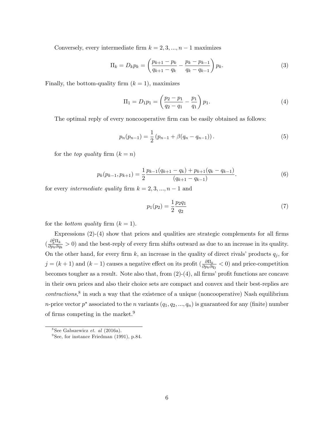Conversely, every intermediate firm  $k = 2, 3, ..., n - 1$  maximizes

$$
\Pi_k = D_k p_k = \left(\frac{p_{k+1} - p_k}{q_{k+1} - q_k} - \frac{p_k - p_{k-1}}{q_k - q_{k-1}}\right) p_k.
$$
\n(3)

Finally, the bottom-quality firm  $(k = 1)$ , maximizes

$$
\Pi_1 = D_1 p_1 = \left(\frac{p_2 - p_1}{q_2 - q_1} - \frac{p_1}{q_1}\right) p_1.
$$
\n(4)

The optimal reply of every noncooperative firm can be easily obtained as follows:

$$
p_n(p_{n-1}) = \frac{1}{2} (p_{n-1} + \beta(q_n - q_{n-1})). \tag{5}
$$

for the top quality firm  $(k = n)$ 

$$
p_k(p_{k-1}, p_{k+1}) = \frac{1}{2} \frac{p_{k-1}(q_{k+1} - q_k) + p_{k+1}(q_k - q_{k-1})}{(q_{k+1} - q_{k-1})}.
$$
 (6)

for every *intermediate quality* firm  $k = 2, 3, ..., n - 1$  and

$$
p_1(p_2) = \frac{1}{2} \frac{p_2 q_1}{q_2} \tag{7}
$$

for the *bottom quality* firm  $(k = 1)$ .

Expressions  $(2)-(4)$  show that prices and qualities are strategic complements for all firms  $\left(\frac{\partial_k^2 \Pi_k}{\partial n_i \partial a}\right)$  $\frac{\partial_k H_k}{\partial p_k \partial q_k} > 0$  and the best-reply of every firm shifts outward as due to an increase in its quality. On the other hand, for every firm k, an increase in the quality of direct rivals' products  $q_j$ , for  $j = (k+1)$  and  $(k-1)$  causes a negative effect on its profit  $(\frac{\partial \Pi_k}{\partial p_k \partial q_j} < 0)$  and price-competition becomes tougher as a result. Note also that, from  $(2)-(4)$ , all firms' profit functions are concave in their own prices and also their choice sets are compact and convex and their best-replies are  $contractions<sup>8</sup>$  in such a way that the existence of a unique (noncooperative) Nash equilibrium *n*-price vector  $p^*$  associated to the *n* variants  $(q_1, q_2, ..., q_n)$  is guaranteed for any (finite) number of firms competing in the market. $9$ 

 $8$ See Gabszewicz et. al (2016a).

 $9^9$ See, for instance Friedman (1991), p.84.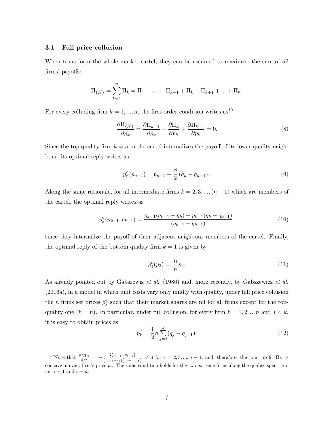### 3.1 Full price collusion

When firms form the whole market cartel, they can be assumed to maximize the sum of all firms' payoffs:

$$
\Pi_{\{N\}} = \sum_{k=1}^{n} \Pi_k = \Pi_1 + \dots + \Pi_{k-1} + \Pi_k + \Pi_{k+1} + \dots + \Pi_n.
$$

For every colluding firm  $k = 1, ..., n$ , the first-order condition writes as<sup>10</sup>

$$
\frac{\partial \Pi_{\{N\}}}{\partial p_k} = \frac{\partial \Pi_{k-1}}{\partial p_k} + \frac{\partial \Pi_k}{\partial p_k} + \frac{\partial \Pi_{k+1}}{\partial p_k} = 0.
$$
\n(8)

Since the top quality-firm  $k = n$  in the cartel internalizes the payoff of its lower-quality neighbour, its optimal reply writes as

$$
p_n^c(p_{n-1}) = p_{n-1} + \frac{\beta}{2} (q_n - q_{n-1}).
$$
\n(9)

Along the same rationale, for all intermediate firms  $k = 2, 3, ..., (n - 1)$  which are members of the cartel, the optimal reply writes as

$$
p_k^c(p_{k-1}, p_{k+1}) = \frac{p_{k-1}(q_{k+1} - q_k) + p_{k+1}(q_k - q_{k-1})}{(q_{k+1} - q_{k-1})},
$$
\n(10)

since they internalize the payoff of their adjacent neighbour members of the cartel. Finally, the optimal reply of the bottom quality firm  $k = 1$  is given by

$$
p_1^c(p_2) = \frac{q_1}{q_2} p_2. \tag{11}
$$

As already pointed out by Gabszewiz et al. (1986) and, more recently, by Gabszewicz et al. (2016a), in a model in which unit costs vary only mildly with quality, under full price collusion the *n* firms set prices  $p_k^c$  such that their market shares are nil for all firms except for the topquality one  $(k = n)$ . In particular, under full collusion, for every firm  $k = 1, 2, ..., n$  and  $j < k$ , it is easy to obtain prices as

$$
p_k^c = \frac{1}{2} \beta \sum_{j=1}^k (q_j - q_{j-1}).
$$
\n(12)

<sup>&</sup>lt;sup>10</sup>Note that  $\frac{\partial^2 \Pi_N}{\partial p_i^2} = -\frac{2(v_{i+1}-v_{i-1})}{(v_{i+1}-v_i)(v_i-v_i)}$  $\frac{C^{(v_{i+1}-v_{i-1})}}{(v_{i+1}-v_i)(v_i-v_{i-1})}$  < 0 for  $i=2,3,...,n-1$ , and, therefore, the joint profit  $\Pi_N$  is concave in every firm's price  $p_i$ . The same condition holds for the two extreme firms along the quality spectrum, i.e.  $i = 1$  and  $i = n$ .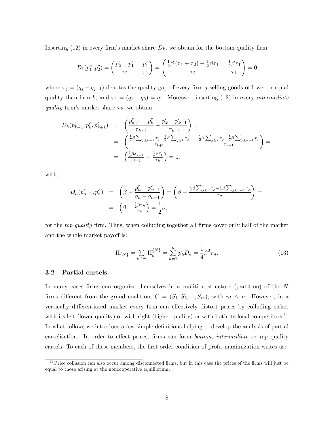Inserting (12) in every firm's market share  $D_k$ , we obtain for the bottom quality firm,

$$
D_1(p_1^c, p_2^c) = \left(\frac{p_2^c - p_1^c}{\tau_2} - \frac{p_1^c}{\tau_1}\right) = \left(\frac{\frac{1}{2}\beta(\tau_1 + \tau_2) - \frac{1}{2}\beta\tau_1}{\tau_2} - \frac{\frac{1}{2}\beta\tau_1}{\tau_1}\right) = 0
$$

where  $\tau_j = (q_j - q_{j-1})$  denotes the quality gap of every firm j selling goods of lower or equal quality than firm k, and  $\tau_1 = (q_1 - q_0) = q_1$ . Moreover, inserting (12) in every *intermediate quality* firm's market share  $\tau_k$ , we obtain:

$$
D_k(p_{k-1}^c, p_k^c, p_{k+1}^c) = \left(\frac{p_{k+1}^c - p_k^c}{\tau_{k+1}} - \frac{p_k^c - p_{k-1}^c}{\tau_{k-1}}\right) =
$$
  

$$
= \left(\frac{\frac{1}{2}\beta \sum_{j \le k+1} \tau_j - \frac{1}{2}\beta \sum_{j \le k} \tau_j}{\tau_{k+1}} - \frac{\frac{1}{2}\beta \sum_{j \le k} \tau_j - \frac{1}{2}\beta \sum_{j \le k-1} \tau_j}{\tau_{k+1}}\right) =
$$
  

$$
= \left(\frac{\frac{1}{2}\beta \delta_{k+1}}{\tau_{k+1}} - \frac{\frac{1}{2}\beta \delta_k}{\tau_k}\right) = 0.
$$

with,

$$
D_n(p_{n-1}^c, p_n^c) = \left(\beta - \frac{p_n^c - p_{n-1}^c}{q_n - q_{n-1}}\right) = \left(\beta - \frac{\frac{1}{2}\beta \sum_{j \le n} \tau_j - \frac{1}{2}\beta \sum_{j \le n-1} \tau_j}{\tau_n}\right) =
$$
  
=  $\left(\beta - \frac{\frac{1}{2}\beta \tau_n}{\tau_n}\right) = \frac{1}{2}\beta,$ 

for the *top quality* firm. Thus, when colluding together all firms cover only half of the market and the whole market payoff is:

$$
\Pi_{\{N\}} = \sum_{k \in N} \Pi_k^{\{N\}} = \sum_{k=1}^n p_k^c D_k = \frac{1}{4} \beta^2 \tau_n.
$$
\n(13)

#### 3.2 Partial cartels

In many cases firms can organize themselves in a coalition structure (partition) of the N firms different from the grand coalition,  $C = (S_1, S_2, ..., S_m)$ , with  $m \leq n$ . However, in a vertically differentiated market every firm can effectively distort prices by colluding either with its left (lower quality) or with right (higher quality) or with both its local competitors.<sup>11</sup> In what follows we introduce a few simple definitions helping to develop the analysis of partial cartelisation. In order to affect prices, firms can form *bottom, intermediate* or top quality cartels. To each of these members, the first order condition of profit maximization writes as:

 $11$  Price collusion can also occur among disconnected firms, but in this case the prices of the firms will just be equal to those arising at the noncooperative equilibrium.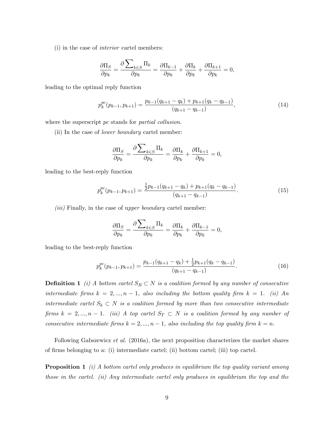(i) in the case of interior cartel members:

$$
\frac{\partial \Pi_S}{\partial p_k} = \frac{\partial \sum_{k \in S} \Pi_k}{\partial p_k} = \frac{\partial \Pi_{k-1}}{\partial p_k} + \frac{\partial \Pi_k}{\partial p_k} + \frac{\partial \Pi_{k+1}}{\partial p_k} = 0,
$$

leading to the optimal reply function

$$
p_k^{pc}(p_{k-1}, p_{k+1}) = \frac{p_{k-1}(q_{k+1} - q_k) + p_{k+1}(q_k - q_{k-1})}{(q_{k+1} - q_{k-1})},
$$
\n(14)

where the superscript pc stands for partial collusion.

(ii) In the case of lower boundary cartel member:

$$
\frac{\partial \Pi_S}{\partial p_k} = \frac{\partial \sum_{k \in S} \Pi_k}{\partial p_k} = \frac{\partial \Pi_k}{\partial p_k} + \frac{\partial \Pi_{k+1}}{\partial p_k} = 0,
$$

leading to the best-reply function

$$
p_k^{pc}(p_{k-1}, p_{k+1}) = \frac{\frac{1}{2}p_{k-1}(q_{k+1} - q_k) + p_{k+1}(q_k - q_{k-1})}{(q_{k+1} - q_{k-1})}.
$$
\n(15)

 $(iii)$  Finally, in the case of upper boundary cartel member:

$$
\frac{\partial \Pi_S}{\partial p_k} = \frac{\partial \sum_{k \in S} \Pi_k}{\partial p_k} = \frac{\partial \Pi_k}{\partial p_k} + \frac{\partial \Pi_{k-1}}{\partial p_k} = 0,
$$

leading to the best-reply function

$$
p_k^{pc}(p_{k-1}, p_{k+1}) = \frac{p_{k-1}(q_{k+1} - q_k) + \frac{1}{2}p_{k+1}(q_k - q_{k-1})}{(q_{k+1} - q_{k-1})}.
$$
\n(16)

**Definition 1** (i) A bottom cartel  $S_B \subset N$  is a coalition formed by any number of consecutive intermediate firms  $k = 2, ..., n - 1$ , also including the bottom quality firm  $k = 1$ . (ii) An intermediate cartel  $S_k \subset N$  is a coalition formed by more than two consecutive intermediate firms  $k = 2, ..., n - 1$ . (iii) A top cartel  $S_T \subset N$  is a coalition formed by any number of consecutive intermediate firms  $k = 2, ..., n - 1$ , also including the top quality firm  $k = n$ .

Following Gabszewicz et al. (2016a), the next proposition characterizes the market shares of Örms belonging to a: (i) intermediate cartel; (ii) bottom cartel; (iii) top cartel.

**Proposition 1** (i) A bottom cartel only produces in equilibrium the top quality variant among those in the cartel. (ii) Any intermediate cartel only produces in equilibrium the top and the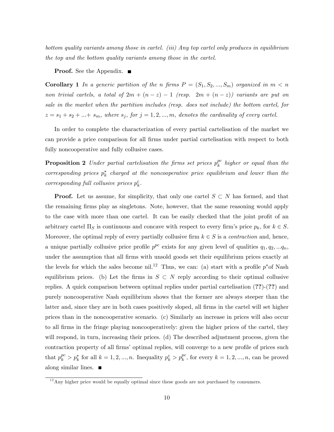bottom quality variants among those in cartel. (iii) Any top cartel only produces in equilibrium the top and the bottom quality variants among those in the cartel.

### **Proof.** See the Appendix. ■

**Corollary 1** In a generic partition of the n firms  $P = (S_1, S_2, ..., S_m)$  organized in  $m < n$ non trivial cartels, a total of  $2m + (n - z) - 1$  (resp.  $2m + (n - z)$ ) variants are put on sale in the market when the partition includes (resp. does not include) the bottom cartel, for  $z = s_1 + s_2 + \ldots + s_m$ , where  $s_j$ , for  $j = 1, 2, \ldots, m$ , denotes the cardinality of every cartel.

In order to complete the characterization of every partial cartelisation of the market we can provide a price comparison for all Örms under partial cartelisation with respect to both fully noncooperative and fully collusive cases.

**Proposition 2** Under partial cartelisation the firms set prices  $p_k^{pc}$  $\frac{pc}{k}$  higher or equal than the corresponding prices  $p_k^*$  charged at the noncooperative price equilibrium and lower than the corresponding full collusive prices  $p_k^c$ .

**Proof.** Let us assume, for simplicity, that only one cartel  $S \subset N$  has formed, and that the remaining firms play as singletons. Note, however, that the same reasoning would apply to the case with more than one cartel. It can be easily checked that the joint profit of an arbitrary cartel  $\Pi_S$  is continuous and concave with respect to every firm's price  $p_k$ , for  $k \in S$ . Moreover, the optimal reply of every partially collusive firm  $k \in S$  is a *contraction* and, hence, a unique partially collusive price profile  $p^{pc}$  exists for any given level of qualities  $q_1, q_2, \ldots q_n$ , under the assumption that all firms with unsold goods set their equilibrium prices exactly at the levels for which the sales become nil.<sup>12</sup> Thus, we can: (a) start with a profile  $p^*$  of Nash equilibrium prices. (b) Let the firms in  $S \subset N$  reply according to their optimal collusive replies. A quick comparison between optimal replies under partial cartelisation (??)-(??) and purely noncooperative Nash equilibrium shows that the former are always steeper than the latter and, since they are in both cases positively sloped, all firms in the cartel will set higher prices than in the noncooperative scenario. (c) Similarly an increase in prices will also occur to all Örms in the fringe playing noncooperatively: given the higher prices of the cartel, they will respond, in turn, increasing their prices. (d) The described adjustment process, given the contraction property of all firms' optimal replies, will converge to a new profile of prices such that  $p_k^{pc} > p_k^*$  for all  $k = 1, 2, ..., n$ . Inequality  $p_k^c > p_k^{pc}$ , for every  $k = 1, 2, ..., n$ , can be proved along similar lines.

 $12$ Any higher price would be equally optimal since these goods are not purchased by consumers.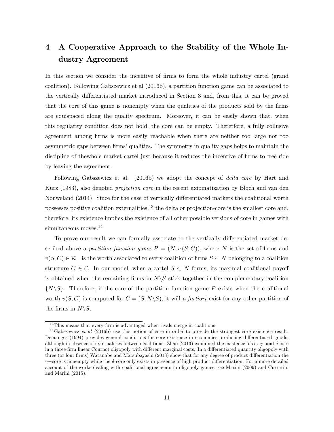# 4 A Cooperative Approach to the Stability of the Whole Industry Agreement

In this section we consider the incentive of firms to form the whole industry cartel (grand coalition). Following Gabszewicz et al (2016b), a partition function game can be associated to the vertically differentiated market introduced in Section 3 and, from this, it can be proved that the core of this game is nonempty when the qualities of the products sold by the firms are equispaced along the quality spectrum. Moreover, it can be easily shown that, when this regularity condition does not hold, the core can be empty. Thererfore, a fully collusive agreement among Örms is more easily reachable when there are neither too large nor too asymmetric gaps between firms' qualities. The symmetry in quality gaps helps to maintain the discipline of thewhole market cartel just because it reduces the incentive of firms to free-ride by leaving the agreement.

Following Gabszewicz et al. (2016b) we adopt the concept of delta core by Hart and Kurz (1983), also denoted projection core in the recent axiomatization by Bloch and van den Nouweland (2014). Since for the case of vertically differentiated markets the coalitional worth possesses positive coalition externalities, $^{13}$  the delta or projection-core is the smallest core and, therefore, its existence implies the existence of all other possible versions of core in games with simultaneous moves.<sup>14</sup>

To prove our result we can formally associate to the vertically differentiated market described above a partition function game  $P = (N, v(S, C))$ , where N is the set of firms and  $v(S, C) \in \mathcal{R}_+$  is the worth associated to every coalition of firms  $S \subset N$  belonging to a coalition structure  $C \in \mathcal{C}$ . In our model, when a cartel  $S \subset N$  forms, its maximal coalitional payoff is obtained when the remaining firms in  $N\$ S stick together in the complementary coalition  $\{N\setminus S\}$ . Therefore, if the core of the partition function game P exists when the coalitional worth  $v(S, C)$  is computed for  $C = (S, N\backslash S)$ , it will a *fortiori* exist for any other partition of the firms in  $N\backslash S$ .

 $13$ This means that every firm is advantaged when rivals merge in coalitions

<sup>&</sup>lt;sup>14</sup>Gabszewicz *et al* (2016b) use this notion of core in order to provide the strongest core existence result. Demanges (1994) provides general conditions for core existence in economies producing differentiated goods, although in absence of externalities between coalitions. Zhao (2013) examined the existence of  $\alpha$ -,  $\gamma$ - and  $\delta$ -core in a three-firm linear Cournot oligopoly with different marginal costs. In a differentiated quantity oligopoly with three (or four firms) Watanabe and Matsubayashi (2013) show that for any degree of product differentiation the  $\gamma$ –core is nonempty while the  $\delta$ -core only exists in presence of high product differentiation. For a more detailed account of the works dealing with coalitional agreements in oligopoly games, see Marini (2009) and Currarini and Marini (2015).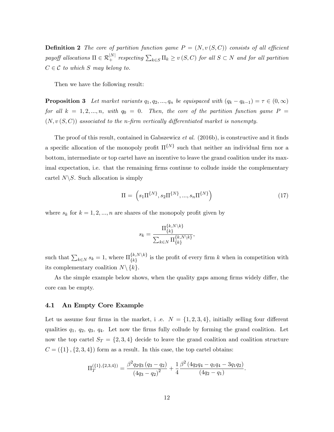**Definition 2** The core of partition function game  $P = (N, v(S, C))$  consists of all efficient payoff allocations  $\Pi \in \mathcal{R}_+^{|N|}$  respecting  $\sum_{k \in S} \Pi_k \ge v(S, C)$  for all  $S \subset N$  and for all partition  $C \in \mathcal{C}$  to which S may belong to.

Then we have the following result:

**Proposition 3** Let market variants  $q_1, q_2, ..., q_n$  be equispaced with  $(q_k - q_{k-1}) = \tau \in (0, \infty)$ for all  $k = 1, 2, ..., n$ , with  $q_0 = 0$ . Then, the core of the partition function game  $P =$  $(N, v(S, C))$  associated to the n-firm vertically differentiated market is nonempty.

The proof of this result, contained in Gabszewicz et al.  $(2016b)$ , is constructive and it finds a specific allocation of the monopoly profit  $\Pi^{\{N\}}$  such that neither an individual firm nor a bottom, intermediate or top cartel have an incentive to leave the grand coalition under its maximal expectation, i.e. that the remaining firms continue to collude inside the complementary cartel  $N\setminus S$ . Such allocation is simply

$$
\Pi = \left( s_1 \Pi^{\{N\}}, s_2 \Pi^{\{N\}}, \dots, s_n \Pi^{\{N\}} \right) \tag{17}
$$

where  $s_k$  for  $k = 1, 2, ..., n$  are shares of the monopoly profit given by

$$
s_k = \frac{\Pi_{\{k\}}^{\{k,N\}k\}}{\sum_{k\in N} \Pi_{\{k\}}^{\{k,N\}k\}},
$$

such that  $\sum_{k \in N} s_k = 1$ , where  $\Pi_{\{k\}}^{\{k, N \setminus k\}}$  $\{k_i^{(k)}\}_{k=1}^N$  is the profit of every firm k when in competition with its complementary coalition  $N\backslash \{k\}.$ 

As the simple example below shows, when the quality gaps among firms widely differ, the core can be empty.

### 4.1 An Empty Core Example

Let us assume four firms in the market, i .e.  $N = \{1, 2, 3, 4\}$ , initially selling four different qualities  $q_1, q_2, q_3, q_4$ . Let now the firms fully collude by forming the grand coalition. Let now the top cartel  $S_T = \{2, 3, 4\}$  decide to leave the grand coalition and coalition structure  $C = (\{1\}, \{2, 3, 4\})$  form as a result. In this case, the top cartel obtains:

$$
\Pi_T^{\left(\{1\},\{2,3,4\}\right)} = \frac{\beta^2 q_2 q_3 (q_3 - q_2)}{(4q_3 - q_2)^2} + \frac{1}{4} \frac{\beta^2 (4q_2 q_4 - q_1 q_4 - 3q_1 q_2)}{(4q_2 - q_1)}.
$$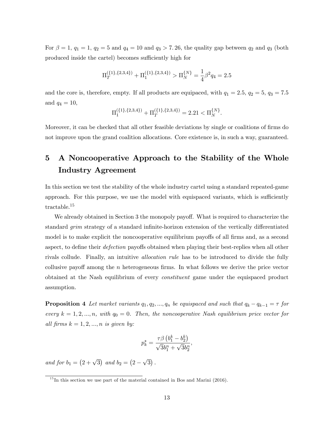For  $\beta = 1$ ,  $q_1 = 1$ ,  $q_2 = 5$  and  $q_4 = 10$  and  $q_3 > 7.26$ , the quality gap between  $q_2$  and  $q_3$  (both produced inside the cartel) becomes sufficiently high for

$$
\Pi_T^{\{\{1\},\{2,3,4\}\}} + \Pi_1^{\{\{1\},\{2,3,4\}\}} > \Pi_N^{\{N\}} = \frac{1}{4}\beta^2 q_4 = 2.5
$$

and the core is, therefore, empty. If all products are equipaced, with  $q_1 = 2.5$ ,  $q_2 = 5$ ,  $q_3 = 7.5$ and  $q_4 = 10$ ,

$$
\Pi_1^{(\{1\},\{2,3,4\})} + \Pi_T^{(\{1\},\{2,3,4\})} = 2.21 < \Pi_N^{\{N\}}.
$$

Moreover, it can be checked that all other feasible deviations by single or coalitions of firms do not improve upon the grand coalition allocations. Core existence is, in such a way, guaranteed.

# 5 A Noncooperative Approach to the Stability of the Whole Industry Agreement

In this section we test the stability of the whole industry cartel using a standard repeated-game approach. For this purpose, we use the model with equispaced variants, which is sufficiently tractable.<sup>15</sup>

We already obtained in Section 3 the monopoly payoff. What is required to characterize the standard *grim* strategy of a standard infinite-horizon extension of the vertically differentiated model is to make explicit the noncooperative equilibrium payoffs of all firms and, as a second aspect, to define their *defection* payoffs obtained when playing their best-replies when all other rivals collude. Finally, an intuitive allocation rule has to be introduced to divide the fully collusive payoff among the  $n$  heterogeneous firms. In what follows we derive the price vector obtained at the Nash equilibrium of every constituent game under the equispaced product assumption.

**Proposition 4** Let market variants  $q_1, q_2, ..., q_n$  be equispaced and such that  $q_k - q_{k-1} = \tau$  for every  $k = 1, 2, ..., n$ , with  $q_0 = 0$ . Then, the noncooperative Nash equilibrium price vector for all firms  $k = 1, 2, ..., n$  is given by:

$$
p_k^* = \frac{\tau \beta \left(b_1^k - b_2^k\right)}{\sqrt{3}b_1^n + \sqrt{3}b_2^n},
$$

and for  $b_1 = (2 + \sqrt{3})$  and  $b_2 = (2 - \sqrt{3})$ .

 $\frac{15}{15}$  In this section we use part of the material contained in Bos and Marini (2016).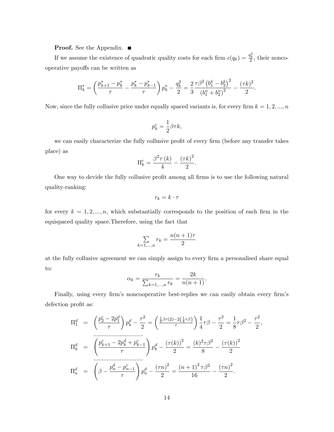### **Proof.** See the Appendix. ■

If we assume the existence of quadratic quality costs for each firm  $c(q_k) = \frac{q_k^2}{2}$ , their noncooperative payo§s can be written as

$$
\Pi_k^* = \left(\frac{p_{k+1}^* - p_k^*}{\tau} - \frac{p_k^* - p_{k-1}^*}{\tau}\right) p_k^* - \frac{q_k^2}{2} = \frac{2\tau\beta^2 \left(b_1^k - b_2^k\right)^2}{\left(b_1^n + b_2^n\right)^2} - \frac{(\tau k)^2}{2}.
$$

Now, since the fully collusive price under equally spaced variants is, for every firm  $k = 1, 2, ..., n$ 

$$
p_k^c=\frac{1}{2}\beta\tau k,
$$

we can easily characterize the fully collusive profit of every firm (before any transfer takes place) as

$$
\Pi_k^c = \frac{\beta^2 \tau(k)}{4} - \frac{(\tau k)^2}{2}.
$$

One way to devide the fully collusive profit among all firms is to use the following natural quality-ranking:

$$
r_k = k \cdot \tau
$$

for every  $k = 1, 2, ..., n$ , which substantially corresponds to the position of each firm in the equispaced quality space.Therefore, using the fact that

$$
\sum_{k=1,\dots,n} r_k = \frac{n(n+1)\tau}{2}
$$

at the fully collusive agreement we can simply assign to every firm a personalised share equal to:

$$
\alpha_k = \frac{r_k}{\sum_{k=1,\dots,n} r_k} = \frac{2k}{n(n+1)}.
$$

Finally, using every firm's noncooperative best-replies we can easily obtain every firm's defection profit as:

$$
\Pi_1^d = \left(\frac{p_2^c - 2p_1^d}{\tau}\right) p_k^d - \frac{\tau^2}{2} = \left(\frac{\frac{1}{2}\beta\tau(2) - 2(\frac{1}{4}\tau\beta)}{\tau}\right) \frac{1}{4}\tau\beta - \frac{\tau^2}{2} = \frac{1}{8}\tau\beta^2 - \frac{\tau^2}{2},
$$
\n
$$
\Pi_k^d = \left(\frac{p_{k+1}^c - 2p_k^d + p_{k-1}^c}{\tau}\right) p_k^d - \frac{(\tau(k))^2}{2} = \frac{(k)^2\tau\beta^2}{8} - \frac{(\tau(k))^2}{2}
$$
\n
$$
\Pi_n^d = \left(\beta - \frac{p_n^d - p_{n-1}^c}{\tau}\right) p_n^d - \frac{(\tau n)^2}{2} = \frac{(n+1)^2\tau\beta^2}{16} - \frac{(\tau n)^2}{2}.
$$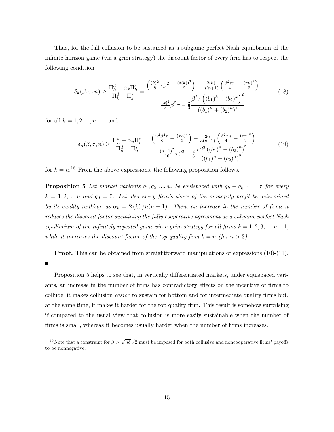Thus, for the full collusion to be sustained as a subgame perfect Nash equilibrium of the infinite horizon game (via a grim strategy) the discount factor of every firm has to respect the following condition

$$
\delta_k(\beta,\tau,n) \ge \frac{\Pi_k^d - \alpha_k \Pi_k^c}{\Pi_k^d - \Pi_k^*} = \frac{\left(\frac{(k)^2}{8}\tau\beta^2 - \frac{(\delta(k))^2}{2}\right) - \frac{2(k)}{n(n+1)}\left(\frac{\beta^2\tau n}{4} - \frac{(\tau n)^2}{2}\right)}{\frac{(k)^2}{8}\beta^2\tau - \frac{2}{3}\frac{\beta^2\tau\left((b_1)^k - (b_2)^k\right)^2}{((b_1)^n + (b_2)^n)^2}}
$$
(18)

for all  $k = 1, 2, ..., n - 1$  and

$$
\delta_n(\beta,\tau,n) \ge \frac{\Pi_n^d - \alpha_n \Pi_n^c}{\Pi_n^d - \Pi_n^*} = \frac{\left(\frac{n^2 \beta^2 \tau}{8} - \frac{(\tau n)^2}{2}\right) - \frac{2n}{n(n+1)} \left(\frac{\beta^2 \tau n}{4} - \frac{(\tau n)^2}{2}\right)}{\frac{(n+1)^2}{16}\tau \beta^2 - \frac{2}{3} \frac{\tau \beta^2 \left((b_1)^n - (b_2)^n\right)^2}{\left((b_1)^n + (b_2)^n\right)^2}}
$$
(19)

for  $k = n^{16}$  From the above expressions, the following proposition follows.

**Proposition 5** Let market variants  $q_1, q_2, ..., q_n$  be equispaced with  $q_k - q_{k-1} = \tau$  for every  $k = 1, 2, ..., n$  and  $q_0 = 0$ . Let also every firm's share of the monopoly profit be determined by its quality ranking, as  $\alpha_k = 2 (k) / n(n + 1)$ . Then, an increase in the number of firms n reduces the discount factor sustaining the fully cooperative agreement as a subgame perfect Nash equilibrium of the infinitely repeated game via a grim strategy for all firms  $k = 1, 2, 3, ..., n - 1$ , while it increases the discount factor of the top quality firm  $k = n$  (for  $n > 3$ ).

**Proof.** This can be obtained from straightforward manipulations of expressions (10)-(11).

 $\blacksquare$ 

Proposition 5 helps to see that, in vertically differentiated markets, under equispaced variants, an increase in the number of firms has contradictory effects on the incentive of firms to collude: it makes collusion *easier* to sustain for bottom and for intermediate quality firms but, at the same time, it makes it harder for the top quality firm. This result is somehow surprising if compared to the usual view that collusion is more easily sustainable when the number of firms is small, whereas it becomes usually harder when the number of firms increases.

<sup>&</sup>lt;sup>16</sup> Note that a constraint for  $\beta > \sqrt{n\delta}\sqrt{2}$  must be imposed for both collusive and noncooperative firms' payoffs to be nonnegative.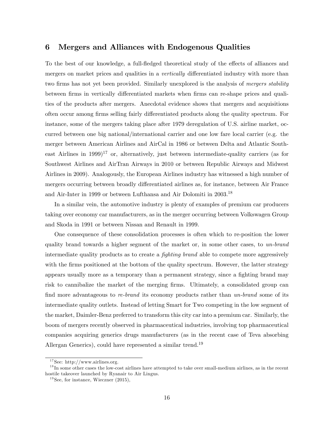### 6 Mergers and Alliances with Endogenous Qualities

To the best of our knowledge, a full-fledged theoretical study of the effects of alliances and mergers on market prices and qualities in a *vertically* differentiated industry with more than two firms has not yet been provided. Similarly unexplored is the analysis of mergers stability between firms in vertically differentiated markets when firms can re-shape prices and qualities of the products after mergers. Anecdotal evidence shows that mergers and acquisitions often occur among firms selling fairly differentiated products along the quality spectrum. For instance, some of the mergers taking place after 1979 deregulation of U.S. airline market, occurred between one big national/international carrier and one low fare local carrier (e.g. the merger between American Airlines and AirCal in 1986 or between Delta and Atlantic Southeast Airlines in  $1999)^{17}$  or, alternatively, just between intermediate-quality carriers (as for Southwest Airlines and AirTran Airways in 2010 or between Republic Airways and Midwest Airlines in 2009). Analogously, the European Airlines industry has witnessed a high number of mergers occurring between broadly differentiated airlines as, for instance, between Air France and Air-Inter in 1999 or between Lufthansa and Air Dolomiti in 2003.<sup>18</sup>

In a similar vein, the automotive industry is plenty of examples of premium car producers taking over economy car manufacturers, as in the merger occurring between Volkswagen Group and Skoda in 1991 or between Nissan and Renault in 1999.

One consequence of these consolidation processes is often which to re-position the lower quality brand towards a higher segment of the market or, in some other cases, to un-brand intermediate quality products as to create a *fighting brand* able to compete more aggressively with the firms positioned at the bottom of the quality spectrum. However, the latter strategy appears usually more as a temporary than a permanent strategy, since a fighting brand may risk to cannibalize the market of the merging firms. Ultimately, a consolidated group can find more advantageous to re-brand its economy products rather than  $un$ -brand some of its intermediate quality outlets. Instead of letting Smart for Two competing in the low segment of the market, Daimler-Benz preferred to transform this city car into a premium car. Similarly, the boom of mergers recently observed in pharmaceutical industries, involving top pharmaceutical companies acquiring generics drugs manufacturers (as in the recent case of Teva absorbing Allergan Generics), could have represented a similar trend.<sup>19</sup>

 $17$ See: http://www.airlines.org.

<sup>&</sup>lt;sup>18</sup>In some other cases the low-cost airlines have attempted to take over small-medium airlines, as in the recent hostile takeover launched by Ryanair to Air Lingus.

 $19$  See, for instance, Wieczner  $(2015)$ ,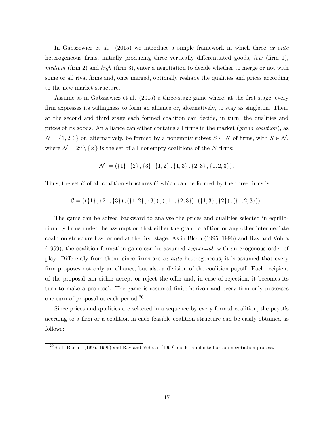In Gabszewicz et al.  $(2015)$  we introduce a simple framework in which three *ex ante* heterogeneous firms, initially producing three vertically differentiated goods, low (firm 1), medium (firm 2) and high (firm 3), enter a negotiation to decide whether to merge or not with some or all rival firms and, once merged, optimally reshape the qualities and prices according to the new market structure.

Assume as in Gabszewicz et al. (2015) a three-stage game where, at the first stage, every firm expresses its willingness to form an alliance or, alternatively, to stay as singleton. Then, at the second and third stage each formed coalition can decide, in turn, the qualities and prices of its goods. An alliance can either contains all firms in the market (*grand coalition*), as  $N = \{1, 2, 3\}$  or, alternatively, be formed by a nonempty subset  $S \subset N$  of firms, with  $S \in \mathcal{N}$ , where  $\mathcal{N} = 2^N \backslash \{ \varnothing \}$  is the set of all nonempty coalitions of the N firms:

$$
\mathcal{N} = (\{1\}, \{2\}, \{3\}, \{1, 2\}, \{1, 3\}, \{2, 3\}, \{1, 2, 3\}).
$$

Thus, the set C of all coalition structures C which can be formed by the three firms is:

 $\mathcal{C} = ((\{1\}, \{2\}, \{3\}), (\{1, 2\}, \{3\}), (\{1\}, \{2, 3\}), (\{1, 3\}, \{2\}), (\{1, 2, 3\})).$ 

The game can be solved backward to analyse the prices and qualities selected in equilibrium by firms under the assumption that either the grand coalition or any other intermediate coalition structure has formed at the Örst stage. As in Bloch (1995, 1996) and Ray and Vohra (1999), the coalition formation game can be assumed sequential, with an exogenous order of play. Differently from them, since firms are *ex ante* heterogeneous, it is assumed that every firm proposes not only an alliance, but also a division of the coalition payoff. Each recipient of the proposal can either accept or reject the offer and, in case of rejection, it becomes its turn to make a proposal. The game is assumed finite-horizon and every firm only possesses one turn of proposal at each period.<sup>20</sup>

Since prices and qualities are selected in a sequence by every formed coalition, the payoffs accruing to a firm or a coalition in each feasible coalition structure can be easily obtained as follows:

 $\frac{20}{20}$ Both Bloch's (1995, 1996) and Ray and Vohra's (1999) model a infinite-horizon negotiation process.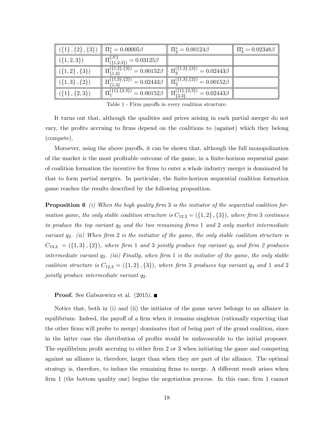| $\parallel (\{1\},\{2\},\{3\}) \parallel \Pi_1^* = 0.00005\beta$ |                                                      | $\Pi_2^* = 0.00124\beta$                                                                          | $\Pi_3^* = 0.02348\beta$ |
|------------------------------------------------------------------|------------------------------------------------------|---------------------------------------------------------------------------------------------------|--------------------------|
| $({1, 2, 3})$                                                    | $\Pi^{\{N\}}_{\{\{1,2,3\}\}} = 0.03125\beta$         |                                                                                                   |                          |
| $({1,2}, {3})$                                                   | $\Pi_{\{1,2\}}^{(\{1,2\},\{3\})}=0.00152\beta$       | $\overline{\Pi_{3}^{(\{1,2\},\{3\})}} = 0.02443\beta$                                             |                          |
| $({1,3}, {2})$                                                   | $\Pi_{\{1,3\}}^{\{\{1,3\},\{2\}\}} = 0.02443\beta$ . | $\Pi_2^{(\{1,3\},\{2\})}=0.00152\beta$                                                            |                          |
| $({1}, {2}, 3)$                                                  |                                                      | $\Pi_1^{(\{1\},\{2,3\})} = 0.00152\beta \parallel \Pi_{\{2,3\}}^{(\{1\},\{2,3\})} = 0.02443\beta$ |                          |

Table 1 - Firm payoffs in every coalition structure.

It turns out that, although the qualities and prices arising in each partial merger do not vary, the profits accruing to firms depend on the coalitions to (against) which they belong (compete).

Moroever, using the above payoffs, it can be shown that, although the full monopolization of the market is the most profitable outcome of the game, in a finite-horizon sequential game of coalition formation the incentive for Örms to enter a whole industry merger is dominated by that to form partial mergers. In particular, the Önite-horizon sequential coalition formation game reaches the results described by the following proposition.

**Proposition 6** (i) When the high quality firm 3 is the initiator of the sequential coalition formation game, the only stable coalition structure is  $C_{12,3} = (\{1,2\},\{3\})$ , where firm 3 continues to produce the top variant  $q_3$  and the two remaining firms 1 and 2 only market intermediate variant  $q_2$ . (ii) When firm 2 is the initiator of the game, the only stable coalition structure is  $C_{13,2} = (\{1,3\},\{2\}),$  where firm 1 and 3 jointly produce top variant  $q_3$  and firm 2 produces intermediate variant  $q_2$ . (iii) Finally, when firm 1 is the initiator of the game, the only stable coalition structure is  $C_{12.3} = (\{1,2\},\{3\})$ , where firm 3 produces top variant  $q_3$  and 1 and 2 jointly produce intermediate variant q2.

#### **Proof.** See Gabszewicz et al.  $(2015)$ .

Notice that, both in (i) and (ii) the initiator of the game never belongs to an alliance in equilibrium. Indeed, the payoff of a firm when it remains singleton (rationally expecting that the other Örms will prefer to merge) dominates that of being part of the grand coalition, since in the latter case the distribution of profits would be unfavourable to the initial proposer. The equilibrium profit accruing to either firm 2 or 3 when initiating the game and competing against an alliance is, therefore, larger than when they are part of the alliance. The optimal strategy is, therefore, to induce the remaining firms to merge. A different result arises when firm 1 (the bottom quality one) begins the negotiation process. In this case, firm 1 cannot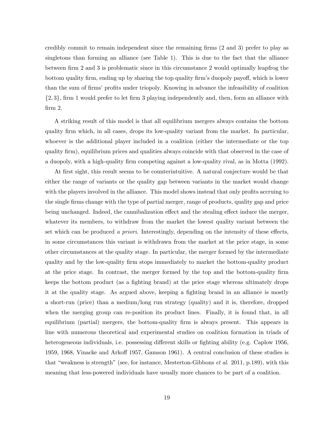credibly commit to remain independent since the remaining firms (2 and 3) prefer to play as singletons than forming an alliance (see Table 1). This is due to the fact that the alliance between firm 2 and 3 is problematic since in this circumstance 2 would optimally leapfrog the bottom quality firm, ending up by sharing the top quality firm's duopoly payoff, which is lower than the sum of firms' profits under triopoly. Knowing in advance the infeasibility of coalition  $\{2,3\}$ , firm 1 would prefer to let firm 3 playing independently and, then, form an alliance with firm 2.

A striking result of this model is that all equilibrium mergers always contains the bottom quality Örm which, in all cases, drops its low-quality variant from the market. In particular, whoever is the additional player included in a coalition (either the intermediate or the top quality Örm), equilibrium prices and qualities always coincide with that observed in the case of a duopoly, with a high-quality firm competing against a low-quality rival, as in Motta (1992).

At first sight, this result seems to be counterintuitive. A natural conjecture would be that either the range of variants or the quality gap between variants in the market would change with the players involved in the alliance. This model shows instead that only profits accruing to the single Örms change with the type of partial merger, range of products, quality gap and price being unchanged. Indeed, the cannibalization effect and the stealing effect induce the merger, whatever its members, to withdraw from the market the lowest quality variant between the set which can be produced a priori. Interestingly, depending on the intensity of these effects, in some circumstances this variant is withdrawn from the market at the price stage, in some other circumstances at the quality stage. In particular, the merger formed by the intermediate quality and by the low-quality Örm stops immediately to market the bottom-quality product at the price stage. In contrast, the merger formed by the top and the bottom-quality firm keeps the bottom product (as a fighting brand) at the price stage whereas ultimately drops it at the quality stage. As argued above, keeping a fighting brand in an alliance is mostly a short-run (price) than a medium/long run strategy (quality) and it is, therefore, dropped when the merging group can re-position its product lines. Finally, it is found that, in all equilibrium (partial) mergers, the bottom-quality firm is always present. This appears in line with numerous theoretical and experimental studies on coalition formation in triads of heterogeneous individuals, i.e. possessing different skills or fighting ability (e.g. Caplow 1956, 1959, 1968, Vinacke and Arkoff 1957, Gamson 1961). A central conclusion of these studies is that "weakness is strength" (see, for instance, Mesterton-Gibbons *et al.* 2011, p.189), with this meaning that less-powered individuals have usually more chances to be part of a coalition.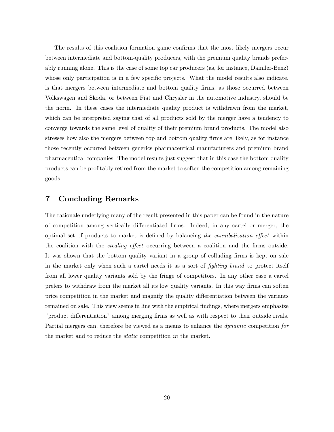The results of this coalition formation game confirms that the most likely mergers occur between intermediate and bottom-quality producers, with the premium quality brands preferably running alone. This is the case of some top car producers (as, for instance, Daimler-Benz) whose only participation is in a few specific projects. What the model results also indicate, is that mergers between intermediate and bottom quality Örms, as those occurred between Volkswagen and Skoda, or between Fiat and Chrysler in the automotive industry, should be the norm. In these cases the intermediate quality product is withdrawn from the market, which can be interpreted saying that of all products sold by the merger have a tendency to converge towards the same level of quality of their premium brand products. The model also stresses how also the mergers between top and bottom quality firms are likely, as for instance those recently occurred between generics pharmaceutical manufacturers and premium brand pharmaceutical companies. The model results just suggest that in this case the bottom quality products can be proÖtably retired from the market to soften the competition among remaining goods.

# 7 Concluding Remarks

The rationale underlying many of the result presented in this paper can be found in the nature of competition among vertically differentiated firms. Indeed, in any cartel or merger, the optimal set of products to market is defined by balancing the cannibalization effect within the coalition with the *stealing effect* occurring between a coalition and the firms outside. It was shown that the bottom quality variant in a group of colluding firms is kept on sale in the market only when such a cartel needs it as a sort of *fighting brand* to protect itself from all lower quality variants sold by the fringe of competitors. In any other case a cartel prefers to withdraw from the market all its low quality variants. In this way firms can soften price competition in the market and magnify the quality differentiation between the variants remained on sale. This view seems in line with the empirical findings, where mergers emphasize "product differentiation" among merging firms as well as with respect to their outside rivals. Partial mergers can, therefore be viewed as a means to enhance the *dynamic* competition for the market and to reduce the static competition in the market.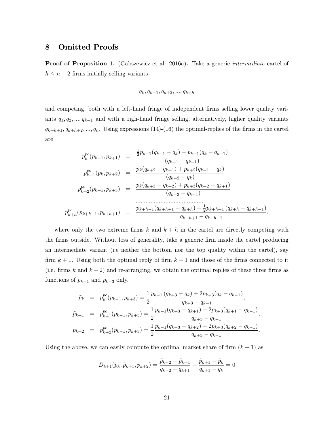# 8 Omitted Proofs

Proof of Proposition 1. (Gabszewicz et al. 2016a). Take a generic *intermediate* cartel of  $h \leq n - 2$  firms initially selling variants

$$
q_k, q_{k+1}, q_{k+2}, ..., q_{k+h}
$$

and competing, both with a left-hand fringe of independent firms selling lower quality variants  $q_1, q_2, ..., q_{k-1}$  and with a righ-hand fringe selling, alternatively, higher quality variants  $q_{k+h+1}, q_{k+h+2}, ..., q_n$ . Using expressions (14)-(16) the optimal-replies of the firms in the cartel are

$$
p_{k}^{pc}(p_{k-1}, p_{k+1}) = \frac{\frac{1}{2}p_{k-1}(q_{k+1} - q_k) + p_{k+1}(q_k - q_{k-1})}{(q_{k+1} - q_{k-1})}
$$
  
\n
$$
p_{k+1}^{pc}(p_k, p_{k+2}) = \frac{p_k(q_{k+2} - q_{k+1}) + p_{k+2}(q_{k+1} - q_k)}{(q_{k+2} - q_k)}
$$
  
\n
$$
p_{k+2}^{pc}(p_{k+1}, p_{k+3}) = \frac{p_k(q_{k+3} - q_{k+2}) + p_{k+3}(q_{k+2} - q_{k+1})}{(q_{k+3} - q_{k+1})}
$$
  
\n
$$
p_{k+h}^{pc}(p_{k+h-1}, p_{k+h+1}) = \frac{p_{k+h-1}(q_{k+h+1} - q_{k+h}) + \frac{1}{2}p_{k+h+1}(q_{k+h} - q_{k+h-1})}{q_{k+h+1} - q_{k+h-1}}.
$$

where only the two extreme firms  $k$  and  $k + h$  in the cartel are directly competing with the firms outside. Without loss of generality, take a generic firm inside the cartel producing an intermediate variant (i.e neither the bottom nor the top quality within the cartel), say firm  $k + 1$ . Using both the optimal reply of firm  $k + 1$  and those of the firms connected to it (i.e. firms k and  $k + 2$ ) and re-arranging, we obtain the optimal replies of these three firms as functions of  $p_{k-1}$  and  $p_{k+3}$  only.

$$
\tilde{p}_k = p_k^{pc}(p_{k-1}, p_{k+3}) = \frac{1}{2} \frac{p_{k-1}(q_{k+3} - q_k) + 2p_{k+3}(q_k - q_{k-1})}{q_{k+3} - q_{k-1}},
$$
\n
$$
\tilde{p}_{k+1} = p_{k+1}^{pc}(p_{k-1}, p_{k+3}) = \frac{1}{2} \frac{p_{k-1}(q_{k+3} - q_{k+1}) + 2p_{k+3}(q_{k+1} - q_{k-1})}{q_{k+3} - q_{k-1}},
$$
\n
$$
\tilde{p}_{k+2} = p_{k+2}^{pc}(p_{k-1}, p_{k+3}) = \frac{1}{2} \frac{p_{k-1}(q_{k+3} - q_{k+2}) + 2p_{k+3}(q_{k+2} - q_{k-1})}{q_{k+3} - q_{k-1}}.
$$

Using the above, we can easily compute the optimal market share of firm  $(k + 1)$  as

$$
D_{k+1}(\tilde{p}_k, \tilde{p}_{k+1}, \tilde{p}_{k+2}) = \frac{\tilde{p}_{k+2} - \tilde{p}_{k+1}}{q_{k+2} - q_{k+1}} - \frac{\tilde{p}_{k+1} - \tilde{p}_k}{q_{k+1} - q_k} = 0
$$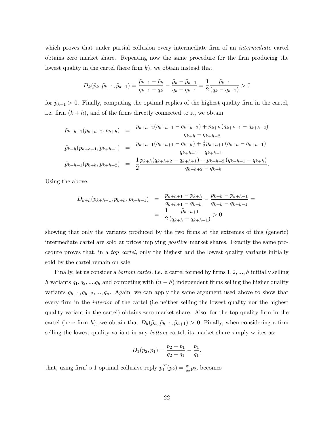which proves that under partial collusion every intermediate firm of an *intermediate* cartel obtains zero market share. Repeating now the same procedure for the firm producing the lowest quality in the cartel (here firm  $k$ ), we obtain instead that

$$
D_k(\tilde{p}_k, \tilde{p}_{k+1}, \tilde{p}_{k-1}) = \frac{\tilde{p}_{k+1} - \tilde{p}_k}{q_{k+1} - q_k} - \frac{\tilde{p}_k - \tilde{p}_{k-1}}{q_k - q_{k-1}} = \frac{1}{2} \frac{\tilde{p}_{k-1}}{(q_k - q_{k-1})} > 0
$$

for  $\tilde{p}_{k-1} > 0$ . Finally, computing the optimal replies of the highest quality firm in the cartel, i.e. firm  $(k + h)$ , and of the firms directly connected to it, we obtain

$$
\tilde{p}_{k+h-1}(p_{k+h-2}, p_{k+h}) = \frac{p_{k+h-2}(q_{k+h-1} - q_{k+h-2}) + p_{k+h}(q_{k+h-1} - q_{k+h-2})}{q_{k+h} - q_{k+h-2}}
$$
\n
$$
\tilde{p}_{k+h}(p_{k+h-1}, p_{k+h+1}) = \frac{p_{k+h-1}(q_{k+h+1} - q_{k+h}) + \frac{1}{2}p_{k+h+1}(q_{k+h} - q_{k+h-1})}{q_{k+h+1} - q_{k+h-1}}
$$
\n
$$
\tilde{p}_{k+h+1}(p_{k+h}, p_{k+h+2}) = \frac{1}{2} \frac{p_{k+h}(q_{k+h+2} - q_{k+h+1}) + p_{k+h+2}(q_{k+h+1} - q_{k+h})}{q_{k+h+2} - q_{k+h}}.
$$

Using the above,

$$
D_{k+h}(\tilde{p}_{k+h-1}, \tilde{p}_{k+h}, \tilde{p}_{k+h+1}) = \frac{\tilde{p}_{k+h+1} - \tilde{p}_{k+h}}{q_{k+h+1} - q_{k+h}} - \frac{\tilde{p}_{k+h} - \tilde{p}_{k+h-1}}{q_{k+h} - q_{k+h-1}} =
$$
  

$$
= \frac{1}{2} \frac{\tilde{p}_{k+h+1}}{(q_{k+h} - q_{k+h-1})} > 0.
$$

showing that only the variants produced by the two firms at the extremes of this (generic) intermediate cartel are sold at prices implying positive market shares. Exactly the same procedure proves that, in a top cartel, only the highest and the lowest quality variants initially sold by the cartel remain on sale.

Finally, let us consider a *bottom cartel*, i.e. a cartel formed by firms  $1, 2, ..., h$  initially selling h variants  $q_1, q_2, \ldots, q_h$  and competing with  $(n - h)$  independent firms selling the higher quality variants  $q_{h+1}, q_{h+2}, ..., q_n$ . Again, we can apply the same argument used above to show that every firm in the *interior* of the cartel (i.e neither selling the lowest quality nor the highest quality variant in the cartel) obtains zero market share. Also, for the top quality firm in the cartel (here firm h), we obtain that  $D_h(\tilde{p}_h, \tilde{p}_{h-1}, \tilde{p}_{h+1}) > 0$ . Finally, when considering a firm selling the lowest quality variant in any bottom cartel, its market share simply writes as:

$$
D_1(p_2, p_1) = \frac{p_2 - p_1}{q_2 - q_1} - \frac{p_1}{q_1},
$$

that, using firm's 1 optimal collusive reply  $p_1^{pc}$  $_1^{pc}(p_2) = \frac{q_1}{q_2}p_2$ , becomes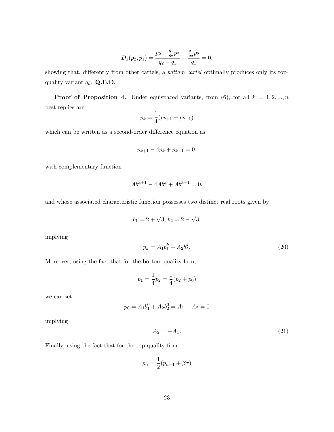$$
D_1(p_2, \tilde{p}_1) = \frac{p_2 - \frac{q_1}{q_2}p_2}{q_2 - q_1} - \frac{\frac{q_1}{q_2}p_2}{q_1} = 0,
$$

showing that, differently from other cartels, a *bottom cartel* optimally produces only its topquality variant  $q_h$ . Q.E.D.

**Proof of Proposition 4.** Under equispaced variants, from  $(6)$ , for all  $k = 1, 2, ..., n$ best-replies are

$$
p_k = \frac{1}{4}(p_{k+1} + p_{k-1})
$$

which can be written as a second-order difference equation as

$$
p_{k+1} - 4p_k + p_{k-1} = 0,
$$

with complementary function

$$
Ab^{k+1} - 4Ab^k + Ab^{k-1} = 0.
$$

and whose associated characteristic function possesses two distinct real roots given by

$$
b_1 = 2 + \sqrt{3}, \, b_2 = 2 - \sqrt{3},
$$

implying

$$
p_k = A_1 b_1^k + A_2 b_2^k. \tag{20}
$$

Moreover, using the fact that for the bottom quality firm,

$$
p_1 = \frac{1}{4}p_2 = \frac{1}{4}(p_2 + p_0)
$$

we can set

$$
p_0 = A_1 b_1^0 + A_2 b_2^0 = A_1 + A_2 = 0
$$

implying

$$
A_2 = -A_1. \tag{21}
$$

Finally, using the fact that for the top quality firm

$$
p_n = \frac{1}{2}(p_{n-1} + \beta \tau)
$$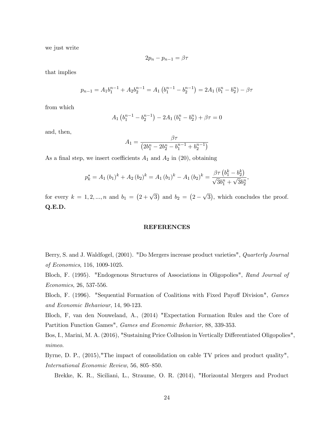we just write

$$
2p_n - p_{n-1} = \beta \tau
$$

that implies

$$
p_{n-1} = A_1 b_1^{n-1} + A_2 b_2^{n-1} = A_1 (b_1^{n-1} - b_2^{n-1}) = 2A_1 (b_1^n - b_2^n) - \beta \tau
$$

from which

$$
A_1 \left(b_1^{n-1} - b_2^{n-1}\right) - 2A_1 \left(b_1^{n} - b_2^{n}\right) + \beta \tau = 0
$$

and, then,

$$
A_1 = \frac{\beta \tau}{\left(2b_1^n - 2b_2^n - b_1^{n-1} + b_2^{n-1}\right)}
$$

As a final step, we insert coefficients  $A_1$  and  $A_2$  in (20), obtaining

$$
p_k^* = A_1 (b_1)^k + A_2 (b_2)^k = A_1 (b_1)^k - A_1 (b_2)^k = \frac{\beta \tau (b_1^k - b_2^k)}{\sqrt{3}b_1^n + \sqrt{3}b_2^n},
$$

for every  $k = 1, 2, ..., n$  and  $b_1 = (2 + \sqrt{3})$  and  $b_2 = (2 - \sqrt{3})$ , which concludes the proof. Q.E.D.

### REFERENCES

Berry, S. and J. Waldfogel, (2001). "Do Mergers increase product varieties", *Quarterly Journal* of Economics, 116, 1009-1025.

Bloch, F. (1995). "Endogenous Structures of Associations in Oligopolies", Rand Journal of Economics, 26, 537-556.

Bloch, F. (1996). "Sequential Formation of Coalitions with Fixed Payoff Division", Games and Economic Behaviour, 14, 90-123.

Bloch, F, van den Nouweland, A., (2014) "Expectation Formation Rules and the Core of Partition Function Games", Games and Economic Behavior, 88, 339-353.

Bos, I., Marini, M. A. (2016), "Sustaining Price Collusion in Vertically Differentiated Oligopolies", mimeo.

Byrne, D. P., (2015),"The impact of consolidation on cable TV prices and product quality", International Economic Review, 56, 805–850.

Brekke, K. R., Siciliani, L., Straume, O. R. (2014), "Horizontal Mergers and Product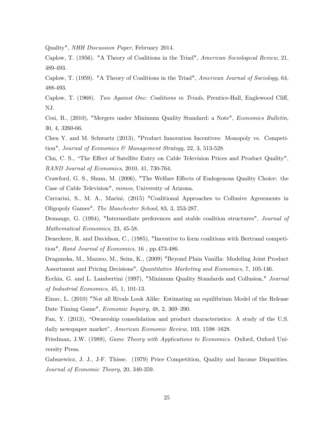Quality", NHH Discussion Paper, February 2014.

Caplow, T. (1956). "A Theory of Coalitions in the Triad", American Sociological Review, 21, 489-493.

Caplow, T. (1959). "A Theory of Coalitions in the Triad", American Journal of Sociology, 64, 488-493.

Caplow, T. (1968). Two Against One: Coalitions in Triads, Prentice-Hall, Englewood Cliff, NJ.

Cesi, B., (2010), "Mergers under Minimum Quality Standard: a Note", Economics Bulletin, 30, 4, 3260-66.

Chen Y. and M. Schwartz (2013), "Product Innovation Incentives: Monopoly vs. Competition", Journal of Economics & Management Strategy, 22, 3, 513-528.

Chu, C. S., "The Effect of Satellite Entry on Cable Television Prices and Product Quality", RAND Journal of Economics, 2010, 41, 730-764.

Crawford, G. S., Shum, M. (2006), "The Welfare Effects of Endogenous Quality Choice: the Case of Cable Television", mimeo, University of Arizona.

Currarini, S., M. A., Marini, (2015) "Coalitional Approaches to Collusive Agreements in Oligopoly Games", The Manchester School, 83, 3, 253-287.

Demange, G. (1994), "Intermediate preferences and stable coalition structures", *Journal of* Mathematical Economics, 23, 45-58.

Deneckere, R. and Davidson, C., (1985), "Incentive to form coalitions with Bertrand competition", Rand Journal of Economics, 16 , pp.473-486.

Draganska, M., Mazzeo, M., Seim, K., (2009) "Beyond Plain Vanilla: Modeling Joint Product Assortment and Pricing Decisions", Quantitative Marketing and Economics, 7, 105-146.

Ecchia, G. and L. Lambertini (1997), "Minimum Quality Standards and Collusion," Journal of Industrial Economics, 45, 1, 101-13.

Einav, L. (2010) "Not all Rivals Look Alike: Estimating an equilibrium Model of the Release Date Timing Game", *Economic Inquiry*, 48, 2, 369–390.

Fan, Y. (2013), "Ownership consolidation and product characteristics: A study of the U.S. daily newspaper market", American Economic Review, 103, 1598–1628.

Friedman, J.W. (1989), Game Theory with Applications to Economics. Oxford, Oxford University Press.

Gabszewicz, J. J., J-F. Thisse. (1979) Price Competition, Quality and Income Disparities. Journal of Economic Theory, 20, 340-359.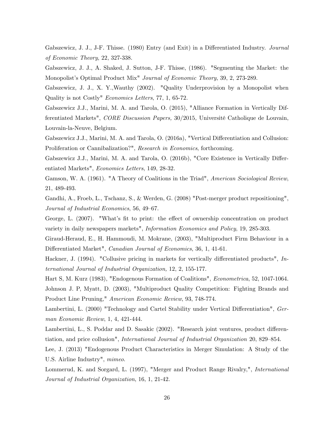Gabszewicz, J. J., J-F. Thisse. (1980) Entry (and Exit) in a Differentiated Industry. *Journal* of Economic Theory, 22, 327-338.

Gabszewicz, J. J., A. Shaked, J. Sutton, J-F. Thisse, (1986). "Segmenting the Market: the Monopolist's Optimal Product Mix" Journal of Economic Theory, 39, 2, 273-289.

Gabszewicz, J. J., X. Y.,Wauthy (2002). "Quality Underprovision by a Monopolist when Quality is not Costly" Economics Letters, 77, 1, 65-72.

Gabszewicz J.J., Marini, M. A. and Tarola, O. (2015), "Alliance Formation in Vertically Differentiated Markets", *CORE Discussion Papers*, 30/2015, Université Catholique de Louvain, Louvain-la-Neuve, Belgium.

Gabszewicz J.J., Marini, M. A. and Tarola, O. (2016a), "Vertical Differentiation and Collusion: Proliferation or Cannibalization?", Research in Economics, forthcoming.

Gabszewicz J.J., Marini, M. A. and Tarola, O. (2016b), "Core Existence in Vertically Differentiated Markets", Economics Letters, 149, 28-32.

Gamson, W. A. (1961). "A Theory of Coalitions in the Triad", American Sociological Review, 21, 489-493.

Gandhi, A., Froeb, L., Tschanz, S., & Werden, G. (2008) "Post-merger product repositioning", Journal of Industrial Economics, 56, 49–67.

George, L.  $(2007)$ . "What's fit to print: the effect of ownership concentration on product variety in daily newspapers markets", Information Economics and Policy, 19, 285-303.

Giraud-Heraud, E., H. Hammoudi, M. Mokrane, (2003), "Multiproduct Firm Behaviour in a Differentiated Market", *Canadian Journal of Economics*, 36, 1, 41-61.

Hackner, J. (1994). "Collusive pricing in markets for vertically differentiated products", International Journal of Industrial Organization, 12, 2, 155-177.

Hart S, M. Kurz (1983), "Endogenous Formation of Coalitions", Econometrica, 52, 1047-1064. Johnson J. P, Myatt, D. (2003), "Multiproduct Quality Competition: Fighting Brands and Product Line Pruning," American Economic Review, 93, 748-774.

Lambertini, L. (2000) "Technology and Cartel Stability under Vertical Differentiation", German Economic Review, 1, 4, 421-444.

Lambertini, L., S. Poddar and D. Sasakic (2002). "Research joint ventures, product differentiation, and price collusion", *International Journal of Industrial Organization* 20, 829–854.

Lee, J. (2013) "Endogenous Product Characteristics in Merger Simulation: A Study of the U.S. Airline Industry", mimeo.

Lommerud, K. and Sorgard, L. (1997), "Merger and Product Range Rivalry,", International Journal of Industrial Organization, 16, 1, 21-42.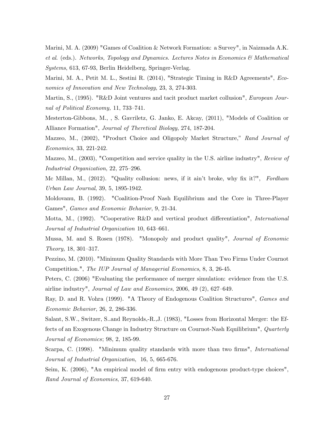Marini, M. A. (2009) "Games of Coalition & Network Formation: a Survey", in Naizmada A.K. et al. (eds.). Networks, Topology and Dynamics. Lectures Notes in Economics & Mathematical Systems, 613, 67-93, Berlin Heidelberg, Springer-Verlag.

Marini, M. A., Petit M. L., Sestini R. (2014), "Strategic Timing in R&D Agreements", Economics of Innovation and New Technology, 23, 3, 274-303.

Martin, S., (1995). "R&D Joint ventures and tacit product market collusion", *European Jour*nal of Political Economy,  $11, 733-741$ .

Mesterton-Gibbons, M., , S. Gavriletz, G. Janko, E. Akcay, (2011), "Models of Coalition or Alliance Formation", Journal of Theretical Biology, 274, 187-204.

Mazzeo, M., (2002), "Product Choice and Oligopoly Market Structure," Rand Journal of Economics, 33, 221-242.

Mazzeo, M., (2003), "Competition and service quality in the U.S. airline industry", Review of Industrial Organization,  $22, 275-296$ .

Mc Millan, M.,  $(2012)$ . "Quality collusion: news, if it ain't broke, why fix it?", Fordham Urban Law Journal, 39, 5, 1895-1942.

Moldovanu, B. (1992). "Coalition-Proof Nash Equilibrium and the Core in Three-Player Games", Games and Economic Behavior, 9, 21-34.

Motta, M., (1992). "Cooperative R&D and vertical product differentiation", *International* Journal of Industrial Organization 10,  $643-661$ .

Mussa, M. and S. Rosen (1978). "Monopoly and product quality", Journal of Economic  $Theory, 18, 301–317.$ 

Pezzino, M. (2010). "Minimum Quality Standards with More Than Two Firms Under Cournot Competition.", The IUP Journal of Managerial Economics, 8, 3, 26-45.

Peters, C. (2006) "Evaluating the performance of merger simulation: evidence from the U.S. airline industry", Journal of Law and Economics, 2006, 49  $(2)$ , 627–649.

Ray, D. and R. Vohra (1999). "A Theory of Endogenous Coalition Structures", Games and Economic Behavior, 26, 2, 286-336.

Salant, S.W., Switzer, S..and Reynolds,-R.,J. (1983), "Losses from Horizontal Merger: the Effects of an Exogenous Change in Industry Structure on Cournot-Nash Equilibrium", Quarterly Journal of Economics; 98, 2, 185-99.

Scarpa, C. (1998). "Minimum quality standards with more than two firms", *International* Journal of Industrial Organization, 16, 5, 665-676.

Seim, K. (2006), "An empirical model of firm entry with endogenous product-type choices", Rand Journal of Economics, 37, 619-640.